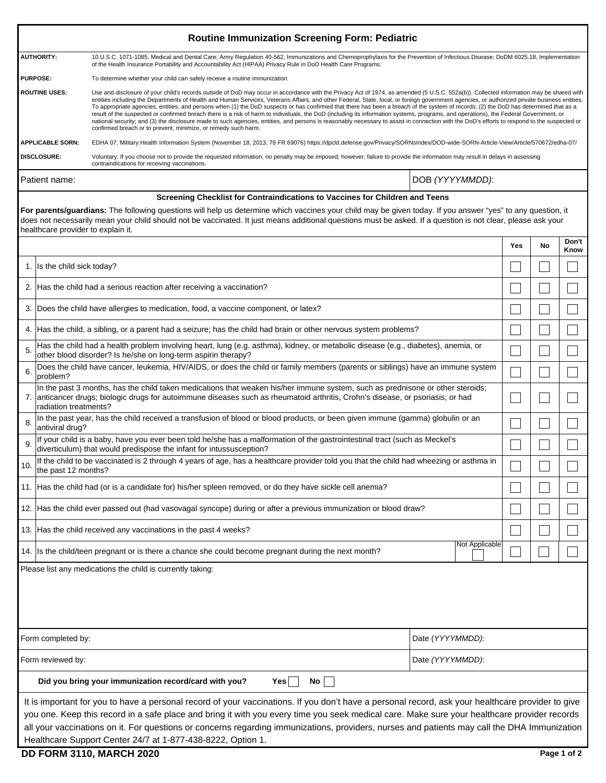|                                                                                                                                                                                                                                                                                                                                                                   | <b>Routine Immunization Screening Form: Pediatric</b>                                                                                                                                                                                                                                                                                                                                                                                                                                                                                                                                                                                                                                                                                                                                                                                                                                                                                                                                                                                       |     |    |               |  |  |  |
|-------------------------------------------------------------------------------------------------------------------------------------------------------------------------------------------------------------------------------------------------------------------------------------------------------------------------------------------------------------------|---------------------------------------------------------------------------------------------------------------------------------------------------------------------------------------------------------------------------------------------------------------------------------------------------------------------------------------------------------------------------------------------------------------------------------------------------------------------------------------------------------------------------------------------------------------------------------------------------------------------------------------------------------------------------------------------------------------------------------------------------------------------------------------------------------------------------------------------------------------------------------------------------------------------------------------------------------------------------------------------------------------------------------------------|-----|----|---------------|--|--|--|
| <b>AUTHORITY:</b>                                                                                                                                                                                                                                                                                                                                                 | 10 U.S.C. 1071-1085, Medical and Dental Care; Army Regulation 40-562, Immunizations and Chemoprophylaxis for the Prevention of Infectious Disease; DoDM 6025.18, Implementation<br>of the Health Insurance Portability and Accountability Act (HIPAA) Privacy Rule in DoD Health Care Programs.                                                                                                                                                                                                                                                                                                                                                                                                                                                                                                                                                                                                                                                                                                                                             |     |    |               |  |  |  |
| <b>PURPOSE:</b><br>To determine whether your child can safely receive a routine immunization.                                                                                                                                                                                                                                                                     |                                                                                                                                                                                                                                                                                                                                                                                                                                                                                                                                                                                                                                                                                                                                                                                                                                                                                                                                                                                                                                             |     |    |               |  |  |  |
| <b>ROUTINE USES:</b>                                                                                                                                                                                                                                                                                                                                              | Use and disclosure of your child's records outside of DoD may occur in accordance with the Privacy Act of 1974, as amended (5 U.S.C. 552a(b)). Collected information may be shared with<br>entities including the Departments of Health and Human Services, Veterans Affairs, and other Federal, State, local, or foreign government agencies, or authorized private business entities.<br>To appropriate agencies, entities, and persons when (1) the DoD suspects or has confirmed that there has been a breach of the system of records; (2) the DoD has determined that as a<br>result of the suspected or confirmed breach there is a risk of harm to individuals, the DoD (including its information systems, programs, and operations), the Federal Government, or<br>national security; and (3) the disclosure made to such agencies, entities, and persons is reasonably necessary to assist in connection with the DoD's efforts to respond to the suspected or<br>confirmed breach or to prevent, minimize, or remedy such harm. |     |    |               |  |  |  |
| <b>APPLICABLE SORN:</b>                                                                                                                                                                                                                                                                                                                                           | EDHA 07, Military Health Information System (November 18, 2013, 78 FR 69076) https://dpcld.defense.gov/Privacy/SORNsIndex/DOD-wide-SORN-Article-View/Article/570672/edha-07/                                                                                                                                                                                                                                                                                                                                                                                                                                                                                                                                                                                                                                                                                                                                                                                                                                                                |     |    |               |  |  |  |
| <b>DISCLOSURE:</b>                                                                                                                                                                                                                                                                                                                                                | Voluntary. If you choose not to provide the requested information, no penalty may be imposed; however, failure to provide the information may result in delays in assessing<br>contraindications for receiving vaccinations.                                                                                                                                                                                                                                                                                                                                                                                                                                                                                                                                                                                                                                                                                                                                                                                                                |     |    |               |  |  |  |
| Patient name:                                                                                                                                                                                                                                                                                                                                                     | DOB (YYYYMMDD):                                                                                                                                                                                                                                                                                                                                                                                                                                                                                                                                                                                                                                                                                                                                                                                                                                                                                                                                                                                                                             |     |    |               |  |  |  |
|                                                                                                                                                                                                                                                                                                                                                                   | Screening Checklist for Contraindications to Vaccines for Children and Teens                                                                                                                                                                                                                                                                                                                                                                                                                                                                                                                                                                                                                                                                                                                                                                                                                                                                                                                                                                |     |    |               |  |  |  |
| For parents/guardians: The following questions will help us determine which vaccines your child may be given today. If you answer "yes" to any question, it<br>does not necessarily mean your child should not be vaccinated. It just means additional questions must be asked. If a question is not clear, please ask your<br>healthcare provider to explain it. |                                                                                                                                                                                                                                                                                                                                                                                                                                                                                                                                                                                                                                                                                                                                                                                                                                                                                                                                                                                                                                             |     |    |               |  |  |  |
|                                                                                                                                                                                                                                                                                                                                                                   |                                                                                                                                                                                                                                                                                                                                                                                                                                                                                                                                                                                                                                                                                                                                                                                                                                                                                                                                                                                                                                             | Yes | No | Don't<br>Know |  |  |  |
|                                                                                                                                                                                                                                                                                                                                                                   | 1. Is the child sick today?                                                                                                                                                                                                                                                                                                                                                                                                                                                                                                                                                                                                                                                                                                                                                                                                                                                                                                                                                                                                                 |     |    |               |  |  |  |
|                                                                                                                                                                                                                                                                                                                                                                   | 2. Has the child had a serious reaction after receiving a vaccination?                                                                                                                                                                                                                                                                                                                                                                                                                                                                                                                                                                                                                                                                                                                                                                                                                                                                                                                                                                      |     |    |               |  |  |  |
|                                                                                                                                                                                                                                                                                                                                                                   | 3. Does the child have allergies to medication, food, a vaccine component, or latex?                                                                                                                                                                                                                                                                                                                                                                                                                                                                                                                                                                                                                                                                                                                                                                                                                                                                                                                                                        |     |    |               |  |  |  |
|                                                                                                                                                                                                                                                                                                                                                                   | 4. Has the child, a sibling, or a parent had a seizure; has the child had brain or other nervous system problems?                                                                                                                                                                                                                                                                                                                                                                                                                                                                                                                                                                                                                                                                                                                                                                                                                                                                                                                           |     |    |               |  |  |  |
| 5.                                                                                                                                                                                                                                                                                                                                                                | Has the child had a health problem involving heart, lung (e.g. asthma), kidney, or metabolic disease (e.g., diabetes), anemia, or<br>other blood disorder? Is he/she on long-term aspirin therapy?                                                                                                                                                                                                                                                                                                                                                                                                                                                                                                                                                                                                                                                                                                                                                                                                                                          |     |    |               |  |  |  |
| 6<br>problem?                                                                                                                                                                                                                                                                                                                                                     | Does the child have cancer, leukemia, HIV/AIDS, or does the child or family members (parents or siblings) have an immune system                                                                                                                                                                                                                                                                                                                                                                                                                                                                                                                                                                                                                                                                                                                                                                                                                                                                                                             |     |    |               |  |  |  |
| radiation treatments?                                                                                                                                                                                                                                                                                                                                             | In the past 3 months, has the child taken medications that weaken his/her immune system, such as prednisone or other steroids;<br>7. anticancer drugs; biologic drugs for autoimmune diseases such as rheumatoid arthritis, Crohn's disease, or psoriasis; or had                                                                                                                                                                                                                                                                                                                                                                                                                                                                                                                                                                                                                                                                                                                                                                           |     |    |               |  |  |  |
| 8<br>antiviral drug?                                                                                                                                                                                                                                                                                                                                              | In the past year, has the child received a transfusion of blood or blood products, or been given immune (gamma) globulin or an                                                                                                                                                                                                                                                                                                                                                                                                                                                                                                                                                                                                                                                                                                                                                                                                                                                                                                              |     |    |               |  |  |  |
|                                                                                                                                                                                                                                                                                                                                                                   | If your child is a baby, have you ever been told he/she has a malformation of the gastrointestinal tract (such as Meckel's<br>diverticulum) that would predispose the infant for intussusception?                                                                                                                                                                                                                                                                                                                                                                                                                                                                                                                                                                                                                                                                                                                                                                                                                                           |     |    |               |  |  |  |

| 10.                                                        | If the child to be vaccinated is 2 through 4 years of age, has a healthcare provider told you that the child had wheezing or asthma in<br>the past 12 months? |  |  |  |  |
|------------------------------------------------------------|---------------------------------------------------------------------------------------------------------------------------------------------------------------|--|--|--|--|
|                                                            | 11. Has the child had (or is a candidate for) his/her spleen removed, or do they have sickle cell anemia?                                                     |  |  |  |  |
|                                                            | 12. Has the child ever passed out (had vasovagal syncope) during or after a previous immunization or blood draw?                                              |  |  |  |  |
|                                                            | 13. Has the child received any vaccinations in the past 4 weeks?                                                                                              |  |  |  |  |
|                                                            | Not Applicable<br>14. Is the child/teen pregnant or is there a chance she could become pregnant during the next month?                                        |  |  |  |  |
| Please list any medications the child is currently taking: |                                                                                                                                                               |  |  |  |  |
|                                                            |                                                                                                                                                               |  |  |  |  |

| Form completed by:                                                                                                                                | Date (YYYYMMDD): |  |  |  |  |
|---------------------------------------------------------------------------------------------------------------------------------------------------|------------------|--|--|--|--|
| Form reviewed by:                                                                                                                                 | Date (YYYYMMDD): |  |  |  |  |
| Did you bring your immunization record/card with you?<br>Yes⊺<br>No l                                                                             |                  |  |  |  |  |
| It is important for you to have a personal record of your vaccinations. If you don't have a personal record, ask your healthcare provider to give |                  |  |  |  |  |

you one. Keep this record in a safe place and bring it with you every time you seek medical care. Make sure your healthcare provider records all your vaccinations on it. For questions or concerns regarding immunizations, providers, nurses and patients may call the DHA Immunization Healthcare Support Center 24/7 at 1-877-438-8222, Option 1.

## **DD FORM 3110, MARCH 2020 Page 1 of 2**

 $\mathbb{R}^n$ 

 $\Box$ 

 $\Box$ 

 $\Box$ 

 $\Box$ 

 $\Box$ 

 $\Box$ 

 $\Box$ 

 $\Box$